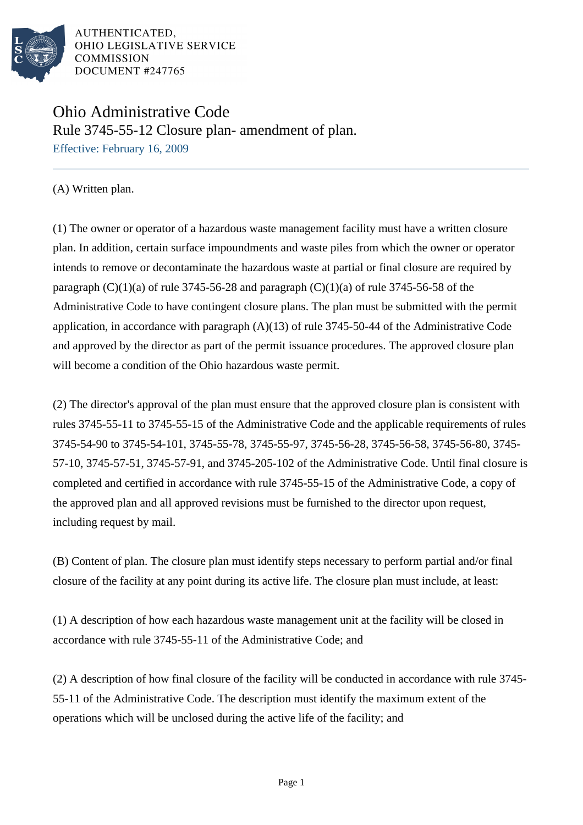

## Ohio Administrative Code Rule 3745-55-12 Closure plan- amendment of plan.

Effective: February 16, 2009

(A) Written plan.

(1) The owner or operator of a hazardous waste management facility must have a written closure plan. In addition, certain surface impoundments and waste piles from which the owner or operator intends to remove or decontaminate the hazardous waste at partial or final closure are required by paragraph  $(C)(1)(a)$  of rule 3745-56-28 and paragraph  $(C)(1)(a)$  of rule 3745-56-58 of the Administrative Code to have contingent closure plans. The plan must be submitted with the permit application, in accordance with paragraph (A)(13) of rule 3745-50-44 of the Administrative Code and approved by the director as part of the permit issuance procedures. The approved closure plan will become a condition of the Ohio hazardous waste permit.

(2) The director's approval of the plan must ensure that the approved closure plan is consistent with rules 3745-55-11 to 3745-55-15 of the Administrative Code and the applicable requirements of rules 3745-54-90 to 3745-54-101, 3745-55-78, 3745-55-97, 3745-56-28, 3745-56-58, 3745-56-80, 3745- 57-10, 3745-57-51, 3745-57-91, and 3745-205-102 of the Administrative Code. Until final closure is completed and certified in accordance with rule 3745-55-15 of the Administrative Code, a copy of the approved plan and all approved revisions must be furnished to the director upon request, including request by mail.

(B) Content of plan. The closure plan must identify steps necessary to perform partial and/or final closure of the facility at any point during its active life. The closure plan must include, at least:

(1) A description of how each hazardous waste management unit at the facility will be closed in accordance with rule 3745-55-11 of the Administrative Code; and

(2) A description of how final closure of the facility will be conducted in accordance with rule 3745- 55-11 of the Administrative Code. The description must identify the maximum extent of the operations which will be unclosed during the active life of the facility; and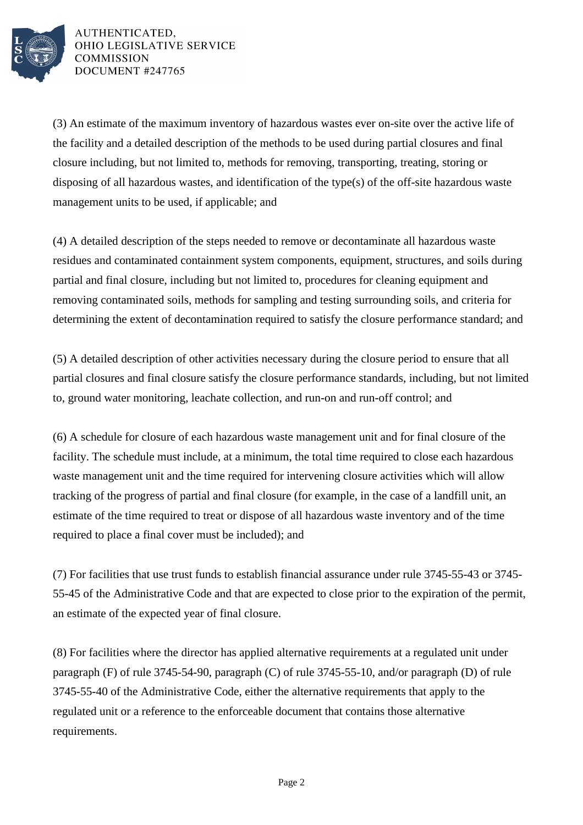

(3) An estimate of the maximum inventory of hazardous wastes ever on-site over the active life of the facility and a detailed description of the methods to be used during partial closures and final closure including, but not limited to, methods for removing, transporting, treating, storing or disposing of all hazardous wastes, and identification of the type(s) of the off-site hazardous waste management units to be used, if applicable; and

(4) A detailed description of the steps needed to remove or decontaminate all hazardous waste residues and contaminated containment system components, equipment, structures, and soils during partial and final closure, including but not limited to, procedures for cleaning equipment and removing contaminated soils, methods for sampling and testing surrounding soils, and criteria for determining the extent of decontamination required to satisfy the closure performance standard; and

(5) A detailed description of other activities necessary during the closure period to ensure that all partial closures and final closure satisfy the closure performance standards, including, but not limited to, ground water monitoring, leachate collection, and run-on and run-off control; and

(6) A schedule for closure of each hazardous waste management unit and for final closure of the facility. The schedule must include, at a minimum, the total time required to close each hazardous waste management unit and the time required for intervening closure activities which will allow tracking of the progress of partial and final closure (for example, in the case of a landfill unit, an estimate of the time required to treat or dispose of all hazardous waste inventory and of the time required to place a final cover must be included); and

(7) For facilities that use trust funds to establish financial assurance under rule 3745-55-43 or 3745- 55-45 of the Administrative Code and that are expected to close prior to the expiration of the permit, an estimate of the expected year of final closure.

(8) For facilities where the director has applied alternative requirements at a regulated unit under paragraph (F) of rule 3745-54-90, paragraph (C) of rule 3745-55-10, and/or paragraph (D) of rule 3745-55-40 of the Administrative Code, either the alternative requirements that apply to the regulated unit or a reference to the enforceable document that contains those alternative requirements.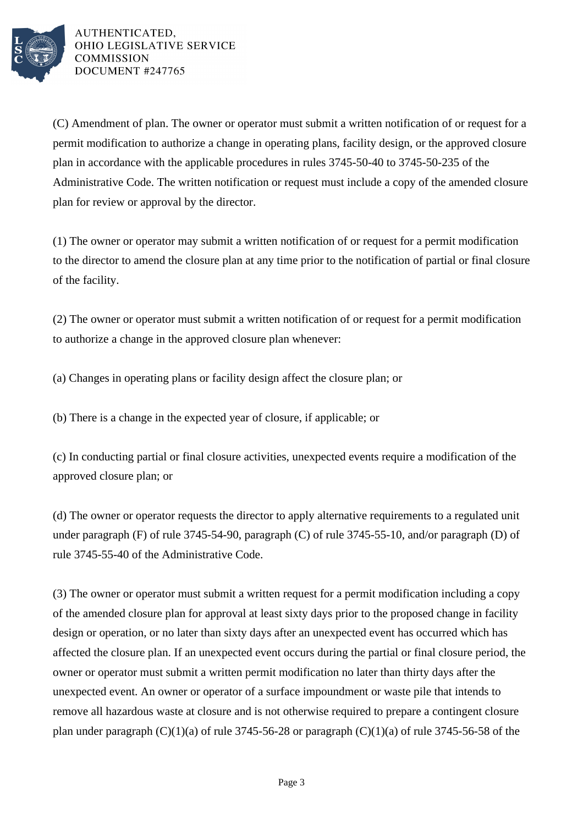

(C) Amendment of plan. The owner or operator must submit a written notification of or request for a permit modification to authorize a change in operating plans, facility design, or the approved closure plan in accordance with the applicable procedures in rules 3745-50-40 to 3745-50-235 of the Administrative Code. The written notification or request must include a copy of the amended closure plan for review or approval by the director.

(1) The owner or operator may submit a written notification of or request for a permit modification to the director to amend the closure plan at any time prior to the notification of partial or final closure of the facility.

(2) The owner or operator must submit a written notification of or request for a permit modification to authorize a change in the approved closure plan whenever:

(a) Changes in operating plans or facility design affect the closure plan; or

(b) There is a change in the expected year of closure, if applicable; or

(c) In conducting partial or final closure activities, unexpected events require a modification of the approved closure plan; or

(d) The owner or operator requests the director to apply alternative requirements to a regulated unit under paragraph (F) of rule 3745-54-90, paragraph (C) of rule 3745-55-10, and/or paragraph (D) of rule 3745-55-40 of the Administrative Code.

(3) The owner or operator must submit a written request for a permit modification including a copy of the amended closure plan for approval at least sixty days prior to the proposed change in facility design or operation, or no later than sixty days after an unexpected event has occurred which has affected the closure plan. If an unexpected event occurs during the partial or final closure period, the owner or operator must submit a written permit modification no later than thirty days after the unexpected event. An owner or operator of a surface impoundment or waste pile that intends to remove all hazardous waste at closure and is not otherwise required to prepare a contingent closure plan under paragraph  $(C)(1)(a)$  of rule 3745-56-28 or paragraph  $(C)(1)(a)$  of rule 3745-56-58 of the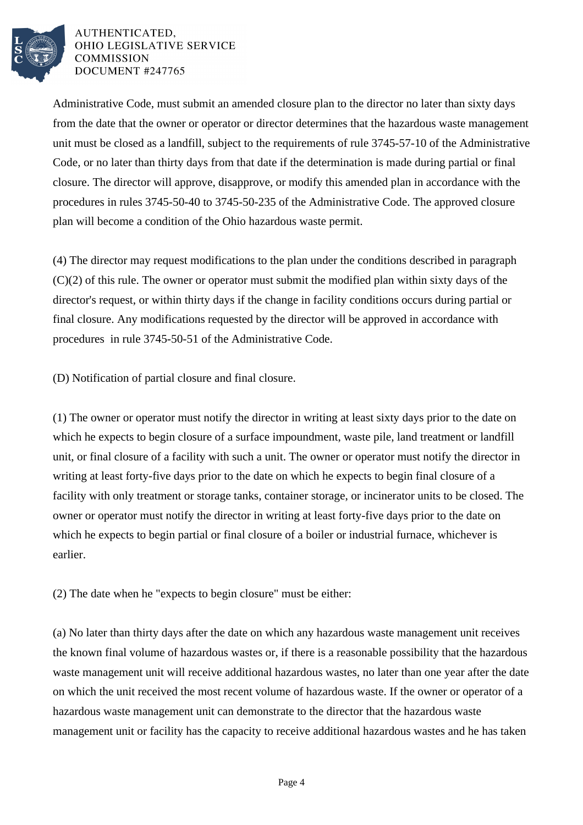

Administrative Code, must submit an amended closure plan to the director no later than sixty days from the date that the owner or operator or director determines that the hazardous waste management unit must be closed as a landfill, subject to the requirements of rule 3745-57-10 of the Administrative Code, or no later than thirty days from that date if the determination is made during partial or final closure. The director will approve, disapprove, or modify this amended plan in accordance with the procedures in rules 3745-50-40 to 3745-50-235 of the Administrative Code. The approved closure plan will become a condition of the Ohio hazardous waste permit.

(4) The director may request modifications to the plan under the conditions described in paragraph (C)(2) of this rule. The owner or operator must submit the modified plan within sixty days of the director's request, or within thirty days if the change in facility conditions occurs during partial or final closure. Any modifications requested by the director will be approved in accordance with procedures in rule 3745-50-51 of the Administrative Code.

(D) Notification of partial closure and final closure.

(1) The owner or operator must notify the director in writing at least sixty days prior to the date on which he expects to begin closure of a surface impoundment, waste pile, land treatment or landfill unit, or final closure of a facility with such a unit. The owner or operator must notify the director in writing at least forty-five days prior to the date on which he expects to begin final closure of a facility with only treatment or storage tanks, container storage, or incinerator units to be closed. The owner or operator must notify the director in writing at least forty-five days prior to the date on which he expects to begin partial or final closure of a boiler or industrial furnace, whichever is earlier.

(2) The date when he "expects to begin closure" must be either:

(a) No later than thirty days after the date on which any hazardous waste management unit receives the known final volume of hazardous wastes or, if there is a reasonable possibility that the hazardous waste management unit will receive additional hazardous wastes, no later than one year after the date on which the unit received the most recent volume of hazardous waste. If the owner or operator of a hazardous waste management unit can demonstrate to the director that the hazardous waste management unit or facility has the capacity to receive additional hazardous wastes and he has taken